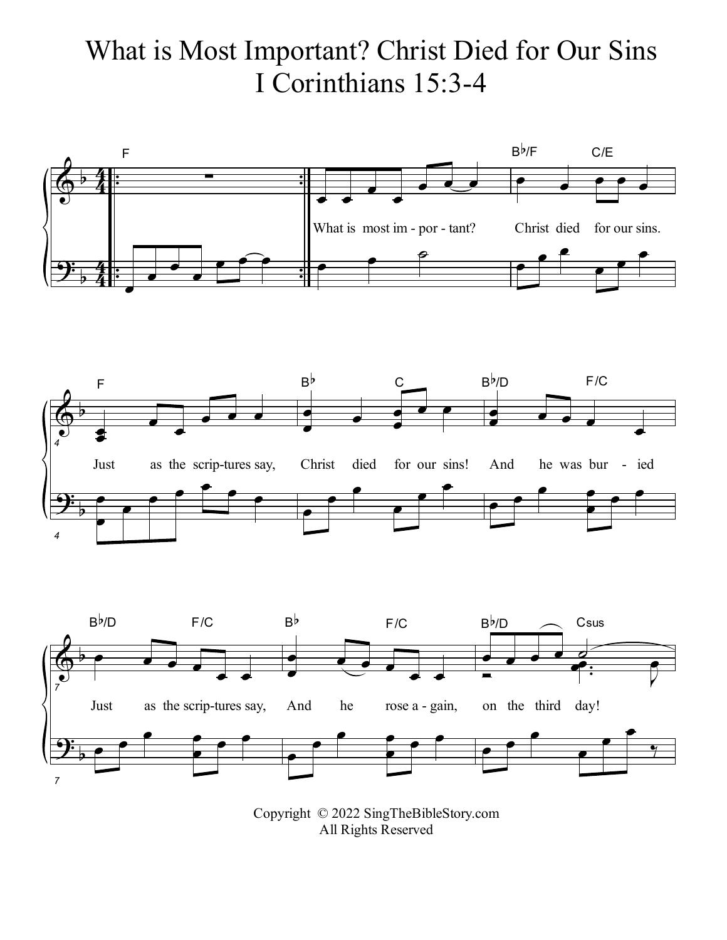## What is Most Important? Christ Died for Our Sins I Corinthians 15:3-4







Copyright © 2022 SingTheBibleStory.com All Rights Reserved